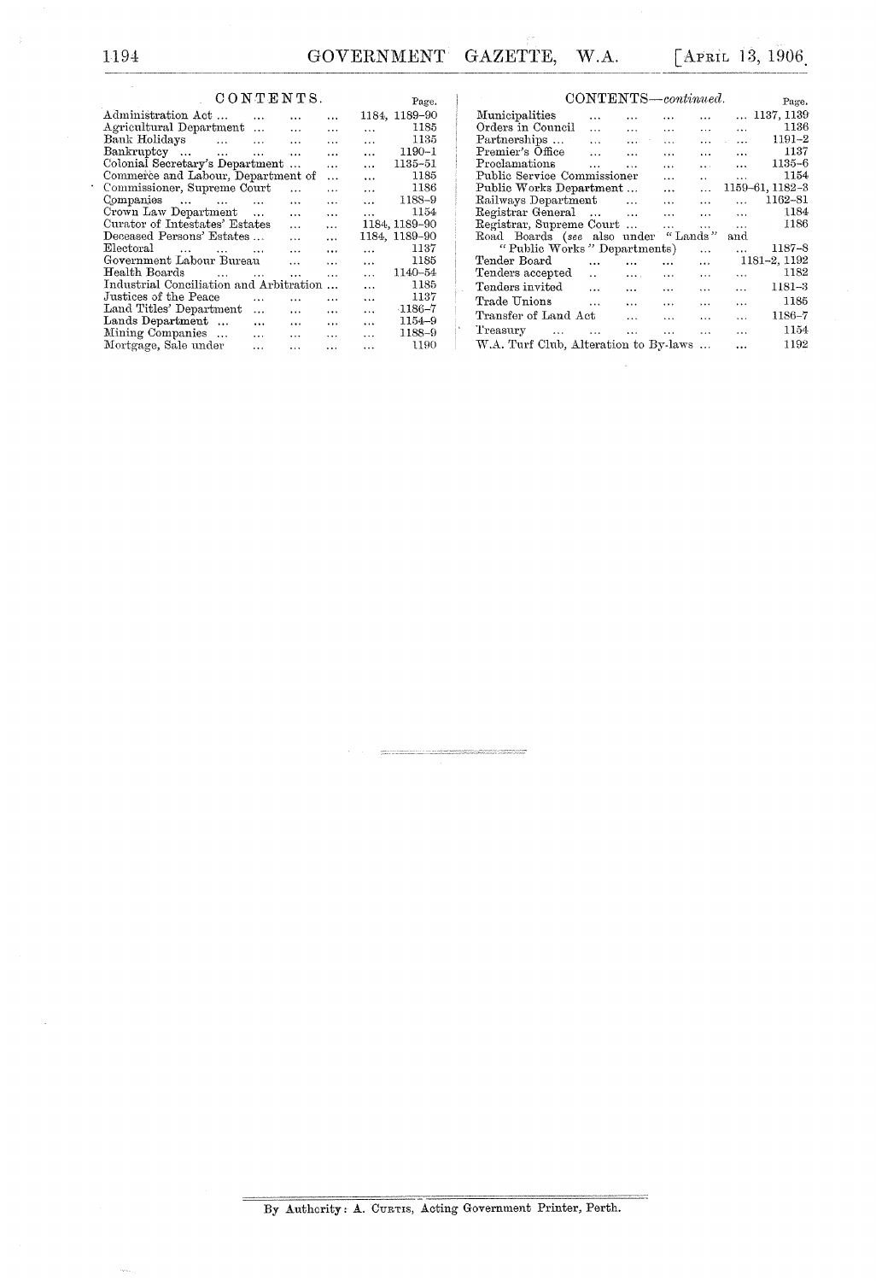## CONTENTS.

| CONTENTS.                               |                      |           |           |           | Page.         |
|-----------------------------------------|----------------------|-----------|-----------|-----------|---------------|
| Administration Act                      | $\cdots$             | .         | .         |           | 1184, 1189-90 |
| Agricultural Department                 |                      | $\cdots$  | $\ddotsc$ | $\ddotsc$ | 1185          |
| Bank Holidays                           | $\sim$ $\sim$ $\sim$ | $\ddotsc$ | $\cdot$ . | $\cdots$  | 1135          |
| Bankruptey<br>$\sim$ $\sim$             | $\sim$               | $\sim$    | $\cdots$  | $\ddotsc$ | $1190 - 1$    |
| Colonial Secretary's Department         |                      | $\cdots$  | $\cdots$  | $\ddotsc$ | 1135-51       |
| Commerce and Labour, Department of      |                      |           | $\ddotsc$ | $\cdots$  | 1185          |
| Commissioner, Supreme Court             |                      | $\ddotsc$ | $\cdots$  | $\cdots$  | 1186          |
| Companies                               | $\sim$ 100           | $\sim$    | $\ddotsc$ | $\ddotsc$ | 1188-9        |
| Crown Law Department                    |                      | $\cdots$  | $\ddotsc$ | $\cdots$  | 1154          |
| Curator of Intestates' Estates          |                      | $\ddotsc$ | $\cdots$  |           | 1184, 1189-90 |
| Deceased Persons' Estates               |                      | $\cdots$  |           |           | 1184, 1189-90 |
| ${\rm Electoral}$                       |                      | $\cdots$  | $\cdots$  | $\cdots$  | 1137          |
| Government Labour Bureau                |                      | $\ddotsc$ | $\cdots$  | $\cdots$  | 1185          |
| Health Boards<br>$\cdots$               | $\sim$               | $\cdots$  | $\cdots$  | $\ddotsc$ | 1140-54       |
| Industrial Conciliation and Arbitration |                      |           | $\ddotsc$ | $\ddotsc$ | 1185          |
| Justices of the Peace                   | $\cdots$             | .         | $\ddotsc$ | $\cdots$  | 1137          |
| Land Titles' Department                 | $\ddotsc$            | $\ddotsc$ | $\cdots$  | $\cdots$  | $-1186 - 7$   |
| Lands Department                        | $\cdots$             | $\cdots$  | $\cdots$  | $\cdots$  | 1154-9        |
| Mining Companies                        | $\ddotsc$            | $\cdots$  | $\ddotsc$ | $\cdots$  | 1188-9        |
| Mortgage, Sale under                    | .                    | $\ddotsc$ | $\cdots$  |           | 1190          |
|                                         |                      |           |           |           |               |

| CONTENTS—continued.                   |                      |                           |           |                      |           |                 |  |  |
|---------------------------------------|----------------------|---------------------------|-----------|----------------------|-----------|-----------------|--|--|
| Municipalities                        | $\ddotsc$            | $\ddotsc$                 | .         | .                    |           | 1137.1139       |  |  |
| Orders in Council                     | $\ddot{\phantom{a}}$ | $\cdots$                  | $\cdots$  | $\cdots$             | $\cdots$  | 1136            |  |  |
| Partnerships                          | $\cdots$             | $\cdots$                  | $\ddotsc$ | $\cdots$             | $\cdots$  | $1191 - 2$      |  |  |
| Premier's Office                      | $\ddotsc$            | $\cdots$                  | $\cdots$  | $\cdots$             | $\cdots$  | 1137            |  |  |
| Proclamations                         | $\overline{1}$       | $\ddotsc$                 | $\cdots$  | <b>A</b> 11          | $\cdots$  | 1135-6          |  |  |
| Public Service Commissioner           |                      |                           | $\cdots$  | $\ddot{\phantom{a}}$ | $\cdots$  | 1154            |  |  |
| Public Works Department               |                      |                           | $\ddotsc$ | $\ddotsc$            |           | 1159-61, 1182-3 |  |  |
| Railways Department                   |                      | $\sim 100$ and $\sim 100$ | $\cdots$  | $\cdots$             | $\ddotsc$ | 1162-81         |  |  |
| Registrar General                     |                      | $\sim$                    | $\cdots$  | $\cdots$             | $\ddotsc$ | 1184            |  |  |
| Registrar, Supreme Court              |                      |                           | $\cdots$  | $\cdots$             | $\cdots$  | 1186            |  |  |
| Road Boards (see also under           |                      |                           |           | "Lands"              | and       |                 |  |  |
| "Public Works" Departments)           |                      |                           |           | $\cdots$             | $\cdots$  | 1187–8          |  |  |
| Tender Board                          | $\cdots$             |                           | $\cdots$  | $\cdots$             |           | 1181-2, 1192    |  |  |
| Tenders accepted                      | $\ddot{\phantom{a}}$ | $\cdots$                  | $\cdots$  | .                    | .         | 1182            |  |  |
| Tenders invited                       | $\cdots$             | $\ddotsc$                 | $\ddotsc$ | $\cdots$             | $\cdots$  | 1181–3          |  |  |
| Trade Unions                          | $\ddotsc$            | $\ddotsc$                 | $\cdots$  | $\cdots$             | .         | 1185            |  |  |
| Transfer of Land Act                  |                      | $\cdots$                  | $\cdots$  | $\cdots$             | $\cdots$  | $1186 - 7$      |  |  |
| Treasury<br>contract of the contract  |                      | $\ddotsc$                 | $\cdots$  | $\cdots$             | $\cdots$  | 1154            |  |  |
| W.A. Turf Club, Alteration to By-laws |                      |                           |           |                      |           | 1192            |  |  |

 $\hat{\boldsymbol{\beta}}$